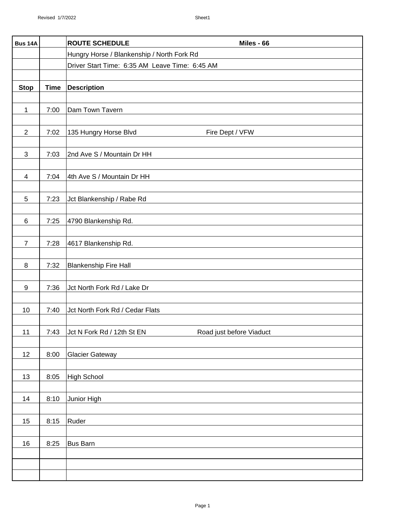| <b>Bus 14A</b>           |             | <b>ROUTE SCHEDULE</b><br>Miles - 66                                 |
|--------------------------|-------------|---------------------------------------------------------------------|
|                          |             | Hungry Horse / Blankenship / North Fork Rd                          |
|                          |             | Driver Start Time: 6:35 AM Leave Time: 6:45 AM                      |
|                          |             |                                                                     |
| <b>Stop</b>              | <b>Time</b> | <b>Description</b>                                                  |
| $\mathbf{1}$             | 7:00        | Dam Town Tavern                                                     |
|                          |             |                                                                     |
| $\overline{2}$           | 7:02        | 135 Hungry Horse Blvd<br>Fire Dept / VFW                            |
| 3                        | 7:03        | 2nd Ave S / Mountain Dr HH                                          |
|                          |             |                                                                     |
| $\overline{\mathcal{A}}$ | 7:04        | 4th Ave S / Mountain Dr HH                                          |
| $\mathbf 5$              | 7:23        | Jct Blankenship / Rabe Rd                                           |
| $\,6\,$                  | 7:25        | 4790 Blankenship Rd.                                                |
|                          |             |                                                                     |
| $\overline{7}$           | 7:28        | 4617 Blankenship Rd.                                                |
| $\, 8$                   | 7:32        | <b>Blankenship Fire Hall</b>                                        |
|                          |             |                                                                     |
| 9                        | 7:36        | Jct North Fork Rd / Lake Dr                                         |
|                          |             |                                                                     |
| 10                       | 7:40        | Jct North Fork Rd / Cedar Flats                                     |
| 11                       |             | 7:43 $\vert$ Jct N Fork Rd / 12th St EN<br>Road just before Viaduct |
|                          |             |                                                                     |
| 12                       | 8:00        | <b>Glacier Gateway</b>                                              |
| 13                       | 8:05        | High School                                                         |
|                          |             |                                                                     |
| 14                       | 8:10        | Junior High                                                         |
| 15                       | 8:15        | Ruder                                                               |
|                          |             |                                                                     |
| 16                       | 8:25        | Bus Barn                                                            |
|                          |             |                                                                     |
|                          |             |                                                                     |
|                          |             |                                                                     |